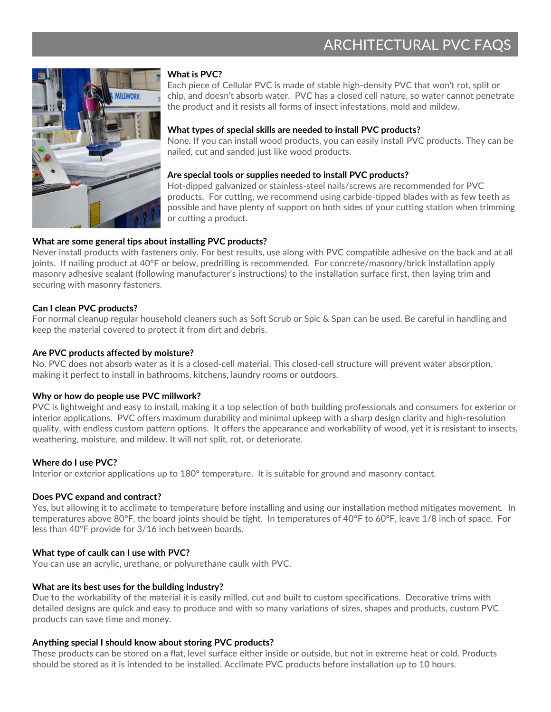

#### **What is PVC?**

Each piece of Cellular PVC is made of stable high-density PVC that won't rot, split or chip, and doesn't absorb water. PVC has a closed cell nature, so water cannot penetrate the product and it resists all forms of insect infestations, mold and mildew.

#### **What types of special skills are needed to install PVC products?**

None. If you can install wood products, you can easily install PVC products. They can be nailed, cut and sanded just like wood products.

#### **Are special tools or supplies needed to install PVC products?**

Hot-dipped galvanized or stainless-steel nails/screws are recommended for PVC products. For cutting, we recommend using carbide-tipped blades with as few teeth as possible and have plenty of support on both sides of your cutting station when trimming or cutting a product.

#### **What are some general tips about installing PVC products?**

Never install products with fasteners only. For best results, use along with PVC compatible adhesive on the back and at all joints. If nailing product at 40°F or below, predrilling is recommended. For concrete/masonry/brick installation apply masonry adhesive sealant (following manufacturer's instructions) to the installation surface first, then laying trim and securing with masonry fasteners.

#### **Can I clean PVC products?**

For normal cleanup regular household cleaners such as Soft Scrub or Spic & Span can be used. Be careful in handling and keep the material covered to protect it from dirt and debris.

#### **Are PVC products affected by moisture?**

No. PVC does not absorb water as it is a closed-cell material. This closed-cell structure will prevent water absorption, making it perfect to install in bathrooms, kitchens, laundry rooms or outdoors.

#### **Why or how do people use PVC millwork?**

PVC is lightweight and easy to install, making it a top selection of both building professionals and consumers for exterior or interior applications. PVC offers maximum durability and minimal upkeep with a sharp design clarity and high-resolution quality, with endless custom pattern options. It offers the appearance and workability of wood, yet it is resistant to insects, weathering, moisture, and mildew. It will not split, rot, or deteriorate.

#### **Where do I use PVC?**

Interior or exterior applications up to 180° temperature. It is suitable for ground and masonry contact.

#### **Does PVC expand and contract?**

Yes, but allowing it to acclimate to temperature before installing and using our installation method mitigates movement. In temperatures above 80°F, the board joints should be tight. In temperatures of 40°F to 60°F, leave 1/8 inch of space. For less than 40°F provide for 3/16 inch between boards.

#### **What type of caulk can I use with PVC?**

You can use an acrylic, urethane, or polyurethane caulk with PVC.

#### **What are its best uses for the building industry?**

Due to the workability of the material it is easily milled, cut and built to custom specifications. Decorative trims with detailed designs are quick and easy to produce and with so many variations of sizes, shapes and products, custom PVC products can save time and money.

#### **Anything special I should know about storing PVC products?**

These products can be stored on a flat, level surface either inside or outside, but not in extreme heat or cold. Products should be stored as it is intended to be installed. Acclimate PVC products before installation up to 10 hours.